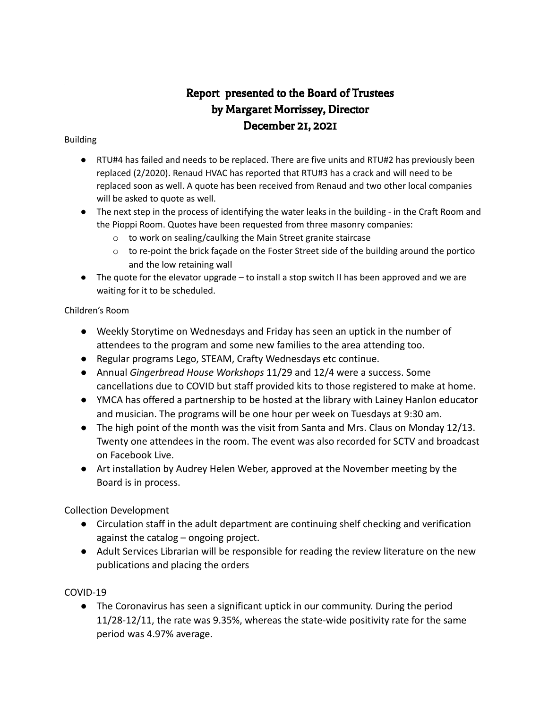# Report presented to the Board of Trustees by Margaret Morrissey, Director December 21, 2021

#### Building

- RTU#4 has failed and needs to be replaced. There are five units and RTU#2 has previously been replaced (2/2020). Renaud HVAC has reported that RTU#3 has a crack and will need to be replaced soon as well. A quote has been received from Renaud and two other local companies will be asked to quote as well.
- The next step in the process of identifying the water leaks in the building in the Craft Room and the Pioppi Room. Quotes have been requested from three masonry companies:
	- o to work on sealing/caulking the Main Street granite staircase
	- $\circ$  to re-point the brick façade on the Foster Street side of the building around the portico and the low retaining wall
- The quote for the elevator upgrade to install a stop switch II has been approved and we are waiting for it to be scheduled.

## Children's Room

- Weekly Storytime on Wednesdays and Friday has seen an uptick in the number of attendees to the program and some new families to the area attending too.
- Regular programs Lego, STEAM, Crafty Wednesdays etc continue.
- Annual *Gingerbread House Workshops* 11/29 and 12/4 were a success. Some cancellations due to COVID but staff provided kits to those registered to make at home.
- YMCA has offered a partnership to be hosted at the library with Lainey Hanlon educator and musician. The programs will be one hour per week on Tuesdays at 9:30 am.
- The high point of the month was the visit from Santa and Mrs. Claus on Monday 12/13. Twenty one attendees in the room. The event was also recorded for SCTV and broadcast on Facebook Live.
- Art installation by Audrey Helen Weber, approved at the November meeting by the Board is in process.

## Collection Development

- Circulation staff in the adult department are continuing shelf checking and verification against the catalog – ongoing project.
- Adult Services Librarian will be responsible for reading the review literature on the new publications and placing the orders

## COVID-19

● The Coronavirus has seen a significant uptick in our community. During the period 11/28-12/11, the rate was 9.35%, whereas the state-wide positivity rate for the same period was 4.97% average.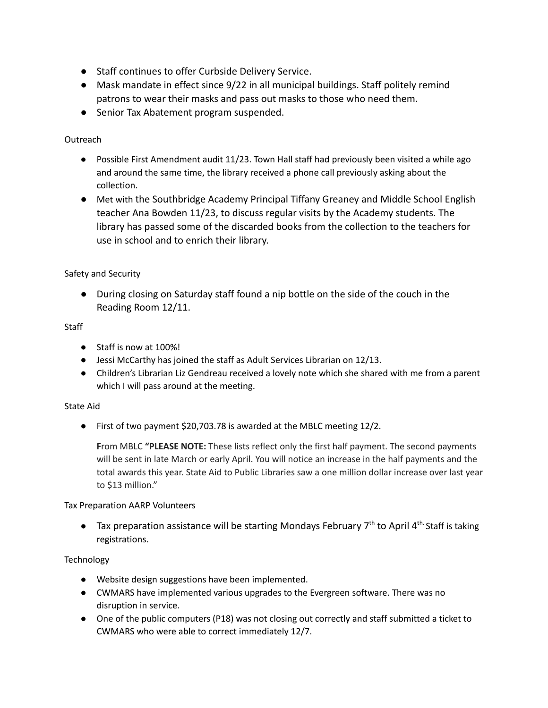- Staff continues to offer Curbside Delivery Service.
- Mask mandate in effect since 9/22 in all municipal buildings. Staff politely remind patrons to wear their masks and pass out masks to those who need them.
- Senior Tax Abatement program suspended.

## Outreach

- Possible First Amendment audit 11/23. Town Hall staff had previously been visited a while ago and around the same time, the library received a phone call previously asking about the collection.
- Met with the Southbridge Academy Principal Tiffany Greaney and Middle School English teacher Ana Bowden 11/23, to discuss regular visits by the Academy students. The library has passed some of the discarded books from the collection to the teachers for use in school and to enrich their library.

## Safety and Security

● During closing on Saturday staff found a nip bottle on the side of the couch in the Reading Room 12/11.

## **Staff**

- Staff is now at 100%!
- Jessi McCarthy has joined the staff as Adult Services Librarian on 12/13.
- Children's Librarian Liz Gendreau received a lovely note which she shared with me from a parent which I will pass around at the meeting.

## State Aid

● First of two payment \$20,703.78 is awarded at the MBLC meeting 12/2.

**F**rom MBLC **"PLEASE NOTE:** These lists reflect only the first half payment. The second payments will be sent in late March or early April. You will notice an increase in the half payments and the total awards this year. State Aid to Public Libraries saw a one million dollar increase over last year to \$13 million."

## Tax Preparation AARP Volunteers

 $\bullet$  Tax preparation assistance will be starting Mondays February 7<sup>th</sup> to April 4<sup>th.</sup> Staff is taking registrations.

## **Technology**

- Website design suggestions have been implemented.
- CWMARS have implemented various upgrades to the Evergreen software. There was no disruption in service.
- One of the public computers (P18) was not closing out correctly and staff submitted a ticket to CWMARS who were able to correct immediately 12/7.